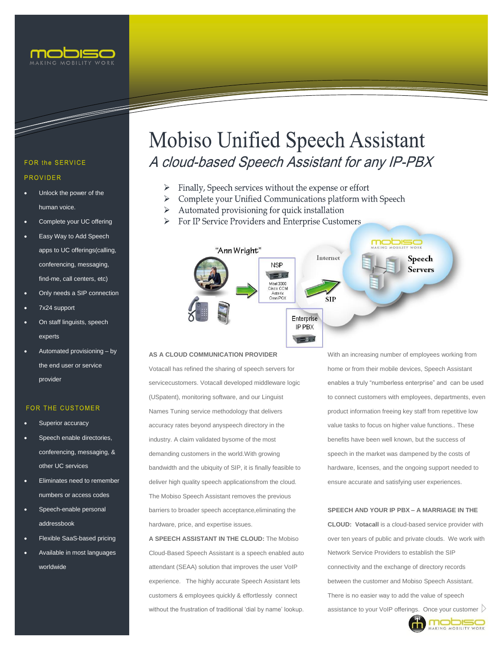

and the state of the contract of the contract of the contract of the contract of the contract of the contract of the contract of the contract of the contract of the contract of the contract of the contract of the contract

### FOR the SERVICE **PROVIDER**

- Unlock the power of the human voice.
- Complete your UC offering
- Easy Way to Add Speech apps to UC offerings(calling, conferencing, messaging, find-me, call centers, etc)
- Only needs a SIP connection
- 7x24 support
- On staff linguists, speech experts
- Automated provisioning by the end user or service provider

#### **FOR THE CUSTOMER**

- Superior accuracy
- Speech enable directories, conferencing, messaging, & other UC services
- Eliminates need to remember numbers or access codes
- Speech-enable personal addressbook
- Flexible SaaS-based pricing
- Available in most languages worldwide

# **Mobiso Unified Speech Assistant** A cloud-based Speech Assistant for any IP-PBX

- Finally, Speech services without the expense or effort
- Complete your Unified Communications platform with Speech
- Automated provisioning for quick installation
- For IP Service Providers and Enterprise Customers



#### **AS A CLOUD COMMUNICATION PROVIDER**

Votacall has refined the sharing of speech servers for servicecustomers. Votacall developed middleware logic (USpatent), monitoring software, and our Linguist Names Tuning service methodology that delivers accuracy rates beyond anyspeech directory in the industry. A claim validated bysome of the most demanding customers in the world.With growing bandwidth and the ubiquity of SIP, it is finally feasible to deliver high quality speech applicationsfrom the cloud. The Mobiso Speech Assistant removes the previous barriers to broader speech acceptance,eliminating the hardware, price, and expertise issues.

**A SPEECH ASSISTANT IN THE CLOUD:** The Mobiso Cloud-Based Speech Assistant is a speech enabled auto attendant (SEAA) solution that improves the user VoIP experience. The highly accurate Speech Assistant lets customers & employees quickly & effortlessly connect without the frustration of traditional 'dial by name' lookup.

With an increasing number of employees working from home or from their mobile devices, Speech Assistant enables a truly "numberless enterprise" and can be used to connect customers with employees, departments, even product information freeing key staff from repetitive low value tasks to focus on higher value functions.. These benefits have been well known, but the success of speech in the market was dampened by the costs of hardware, licenses, and the ongoing support needed to ensure accurate and satisfying user experiences.

#### **SPEECH AND YOUR IP PBX – A MARRIAGE IN THE**

 **CLOUD: Votacall** is a cloud-based service provider with over ten years of public and private clouds. We work with Network Service Providers to establish the SIP connectivity and the exchange of directory records between the customer and Mobiso Speech Assistant. There is no easier way to add the value of speech assistance to your VoIP offerings. Once your customer  $\triangleright$